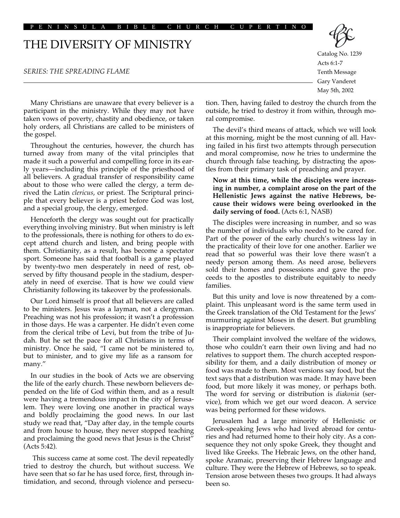PENINSULA BIBLE CHURCH CUPERTINO

# THE DIVERSITY OF MINISTRY

#### *SERIES: THE SPREADING FLAME*

Catalog No. 1239 Acts 6:1-7 Tenth Message

Gary Vanderet May 5th, 2002

Many Christians are unaware that every believer is a participant in the ministry. While they may not have taken vows of poverty, chastity and obedience, or taken holy orders, all Christians are called to be ministers of the gospel.

Throughout the centuries, however, the church has turned away from many of the vital principles that made it such a powerful and compelling force in its early years—including this principle of the priesthood of all believers. A gradual transfer of responsibility came about to those who were called the clergy, a term derived the Latin *clericus*, or priest. The Scriptural principle that every believer is a priest before God was lost, and a special group, the clergy, emerged.

Henceforth the clergy was sought out for practically everything involving ministry. But when ministry is left to the professionals, there is nothing for others to do except attend church and listen, and bring people with them. Christianity, as a result, has become a spectator sport. Someone has said that football is a game played by twenty-two men desperately in need of rest, observed by fifty thousand people in the stadium, desperately in need of exercise. That is how we could view Christianity following its takeover by the professionals.

Our Lord himself is proof that all believers are called to be ministers. Jesus was a layman, not a clergyman. Preaching was not his profession; it wasn't a profession in those days. He was a carpenter. He didn't even come from the clerical tribe of Levi, but from the tribe of Judah. But he set the pace for all Christians in terms of ministry. Once he said, "I came not be ministered to, but to minister, and to give my life as a ransom for many."

In our studies in the book of Acts we are observing the life of the early church. These newborn believers depended on the life of God within them, and as a result were having a tremendous impact in the city of Jerusalem. They were loving one another in practical ways and boldly proclaiming the good news. In our last study we read that, "Day after day, in the temple courts and from house to house, they never stopped teaching and proclaiming the good news that Jesus is the Christ" (Acts 5:42).

This success came at some cost. The devil repeatedly tried to destroy the church, but without success. We have seen that so far he has used force, first, through intimidation, and second, through violence and persecution. Then, having failed to destroy the church from the outside, he tried to destroy it from within, through moral compromise.

The devil's third means of attack, which we will look at this morning, might be the most cunning of all. Having failed in his first two attempts through persecution and moral compromise, now he tries to undermine the church through false teaching, by distracting the apostles from their primary task of preaching and prayer.

### **Now at this time, while the disciples were increasing in number, a complaint arose on the part of the Hellenistic Jews against the native Hebrews, because their widows were being overlooked in the daily serving of food.** (Acts 6:1, NASB)

The disciples were increasing in number, and so was the number of individuals who needed to be cared for. Part of the power of the early church's witness lay in the practicality of their love for one another. Earlier we read that so powerful was their love there wasn't a needy person among them. As need arose, believers sold their homes and possessions and gave the proceeds to the apostles to distribute equitably to needy families.

But this unity and love is now threatened by a complaint. This unpleasant word is the same term used in the Greek translation of the Old Testament for the Jews' murmuring against Moses in the desert. But grumbling is inappropriate for believers.

Their complaint involved the welfare of the widows, those who couldn't earn their own living and had no relatives to support them. The church accepted responsibility for them, and a daily distribution of money or food was made to them. Most versions say food, but the text says that a distribution was made. It may have been food, but more likely it was money, or perhaps both. The word for serving or distribution is *diakonia* (service), from which we get our word deacon. A service was being performed for these widows.

Jerusalem had a large minority of Hellenistic or Greek-speaking Jews who had lived abroad for centuries and had returned home to their holy city. As a consequence they not only spoke Greek, they thought and lived like Greeks. The Hebraic Jews, on the other hand, spoke Aramaic, preserving their Hebrew language and culture. They were the Hebrew of Hebrews, so to speak. Tension arose between theses two groups. It had always been so.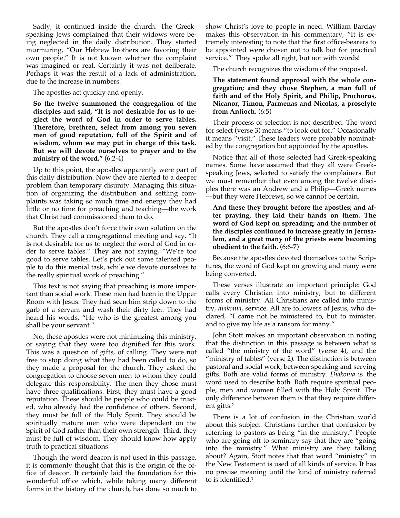Sadly, it continued inside the church. The Greekspeaking Jews complained that their widows were being neglected in the daily distribution. They started murmuring, "Our Hebrew brothers are favoring their own people." It is not known whether the complaint was imagined or real. Certainly it was not deliberate. Perhaps it was the result of a lack of administration, due to the increase in numbers.

The apostles act quickly and openly.

**So the twelve summoned the congregation of the disciples and said, "It is not desirable for us to neglect the word of God in order to serve tables. Therefore, brethren, select from among you seven men of good reputation, full of the Spirit and of wisdom, whom we may put in charge of this task. But we will devote ourselves to prayer and to the ministry of the word."** (6:2-4)

Up to this point, the apostles apparently were part of this daily distribution. Now they are alerted to a deeper problem than temporary disunity. Managing this situation of organizing the distribution and settling complaints was taking so much time and energy they had little or no time for preaching and teaching—the work that Christ had commissioned them to do.

But the apostles don't force their own solution on the church. They call a congregational meeting and say, "It is not desirable for us to neglect the word of God in order to serve tables." They are not saying, "We're too good to serve tables. Let's pick out some talented people to do this menial task, while we devote ourselves to the really spiritual work of preaching."

This text is not saying that preaching is more important than social work. These men had been in the Upper Room with Jesus. They had seen him strip down to the garb of a servant and wash their dirty feet. They had heard his words, "He who is the greatest among you shall be your servant."

No, these apostles were not minimizing this ministry, or saying that they were too dignified for this work. This was a question of gifts, of calling. They were not free to stop doing what they had been called to do, so they made a proposal for the church. They asked the congregation to choose seven men to whom they could delegate this responsibility. The men they chose must have three qualifications. First, they must have a good reputation. These should be people who could be trusted, who already had the confidence of others. Second, they must be full of the Holy Spirit. They should be spiritually mature men who were dependent on the Spirit of God rather than their own strength. Third, they must be full of wisdom. They should know how apply truth to practical situations.

Though the word deacon is not used in this passage, it is commonly thought that this is the origin of the office of deacon. It certainly laid the foundation for this wonderful office which, while taking many different forms in the history of the church, has done so much to

show Christ's love to people in need. William Barclay makes this observation in his commentary, "It is extremely interesting to note that the first office-bearers to be appointed were chosen not to talk but for practical service."<sup>1</sup> They spoke all right, but not with words!

The church recognizes the wisdom of the proposal.

### **The statement found approval with the whole congregation; and they chose Stephen, a man full of faith and of the Holy Spirit, and Philip, Prochorus, Nicanor, Timon, Parmenas and Nicolas, a proselyte from Antioch.** (6:5)

Their process of selection is not described. The word for select (verse 3) means "to look out for." Occasionally it means "visit." These leaders were probably nominated by the congregation but appointed by the apostles.

Notice that all of those selected had Greek-speaking names. Some have assumed that they all were Greekspeaking Jews, selected to satisfy the complainers. But we must remember that even among the twelve disciples there was an Andrew and a Philip—Greek names —but they were Hebrews, so we cannot be certain.

## **And these they brought before the apostles; and after praying, they laid their hands on them. The word of God kept on spreading; and the number of the disciples continued to increase greatly in Jerusalem, and a great many of the priests were becoming obedient to the faith.** (6:6-7)

Because the apostles devoted themselves to the Scriptures, the word of God kept on growing and many were being converted.

These verses illustrate an important principle: God calls every Christian into ministry, but to different forms of ministry. All Christians are called into ministry, *diakonia*, service. All are followers of Jesus, who declared, "I came not be ministered to, but to minister, and to give my life as a ransom for many."

John Stott makes an important observation in noting that the distinction in this passage is between what is called "the ministry of the word" (verse 4), and the "ministry of tables" (verse 2). The distinction is between pastoral and social work; between speaking and serving gifts. Both are valid forms of ministry. *Diakonia* is the word used to describe both. Both require spiritual people, men and women filled with the Holy Spirit. The only difference between them is that they require different gifts.<sup>2</sup>

There is a lot of confusion in the Christian world about this subject. Christians further that confusion by referring to pastors as being "in the ministry." People who are going off to seminary say that they are "going into the ministry." What ministry are they talking about? Again, Stott notes that that word "ministry" in the New Testament is used of all kinds of service. It has no precise meaning until the kind of ministry referred to is identified.3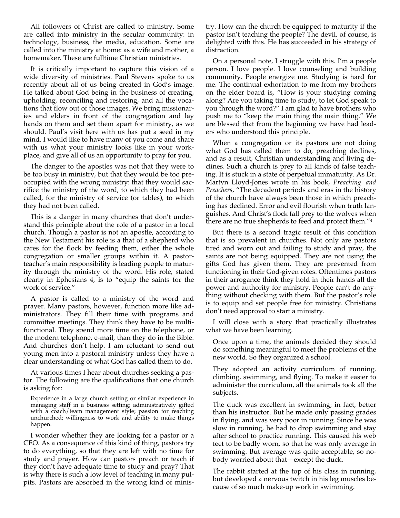All followers of Christ are called to ministry. Some are called into ministry in the secular community: in technology, business, the media, education. Some are called into the ministry at home: as a wife and mother, a homemaker. These are fulltime Christian ministries.

It is critically important to capture this vision of a wide diversity of ministries. Paul Stevens spoke to us recently about all of us being created in God's image. He talked about God being in the business of creating, upholding, reconciling and restoring, and all the vocations that flow out of those images. We bring missionaries and elders in front of the congregation and lay hands on them and set them apart for ministry, as we should. Paul's visit here with us has put a seed in my mind. I would like to have many of you come and share with us what your ministry looks like in your workplace, and give all of us an opportunity to pray for you.

The danger to the apostles was not that they were to be too busy in ministry, but that they would be too preoccupied with the wrong ministry: that they would sacrifice the ministry of the word, to which they had been called, for the ministry of service (or tables), to which they had not been called.

This is a danger in many churches that don't understand this principle about the role of a pastor in a local church. Though a pastor is not an apostle, according to the New Testament his role is a that of a shepherd who cares for the flock by feeding them, either the whole congregation or smaller groups within it. A pastorteacher's main responsibility is leading people to maturity through the ministry of the word. His role, stated clearly in Ephesians 4, is to "equip the saints for the work of service."

A pastor is called to a ministry of the word and prayer. Many pastors, however, function more like administrators. They fill their time with programs and committee meetings. They think they have to be multifunctional. They spend more time on the telephone, or the modern telephone, e-mail, than they do in the Bible. And churches don't help. I am reluctant to send out young men into a pastoral ministry unless they have a clear understanding of what God has called them to do.

At various times I hear about churches seeking a pastor. The following are the qualifications that one church is asking for:

Experience in a large church setting or similar experience in managing staff in a business setting; administratively gifted with a coach/team management style; passion for reaching unchurched; willingness to work and ability to make things happen.

I wonder whether they are looking for a pastor or a CEO. As a consequence of this kind of thing, pastors try to do everything, so that they are left with no time for study and prayer. How can pastors preach or teach if they don't have adequate time to study and pray? That is why there is such a low level of teaching in many pulpits. Pastors are absorbed in the wrong kind of ministry. How can the church be equipped to maturity if the pastor isn't teaching the people? The devil, of course, is delighted with this. He has succeeded in his strategy of distraction.

On a personal note, I struggle with this. I'm a people person. I love people. I love counseling and building community. People energize me. Studying is hard for me. The continual exhortation to me from my brothers on the elder board is, "How is your studying coming along? Are you taking time to study, to let God speak to you through the word?" I am glad to have brothers who push me to "keep the main thing the main thing." We are blessed that from the beginning we have had leaders who understood this principle.

When a congregation or its pastors are not doing what God has called them to do, preaching declines, and as a result, Christian understanding and living declines. Such a church is prey to all kinds of false teaching. It is stuck in a state of perpetual immaturity. As Dr. Martyn Lloyd-Jones wrote in his book, *Preaching and Preachers*, "The decadent periods and eras in the history of the church have always been those in which preaching has declined. Error and evil flourish when truth languishes. And Christ's flock fall prey to the wolves when there are no true shepherds to feed and protect them."4

But there is a second tragic result of this condition that is so prevalent in churches. Not only are pastors tired and worn out and failing to study and pray, the saints are not being equipped. They are not using the gifts God has given them. They are prevented from functioning in their God-given roles. Oftentimes pastors in their arrogance think they hold in their hands all the power and authority for ministry. People can't do anything without checking with them. But the pastor's role is to equip and set people free for ministry. Christians don't need approval to start a ministry.

I will close with a story that practically illustrates what we have been learning.

Once upon a time, the animals decided they should do something meaningful to meet the problems of the new world. So they organized a school.

They adopted an activity curriculum of running, climbing, swimming, and flying. To make it easier to administer the curriculum, all the animals took all the subjects.

The duck was excellent in swimming; in fact, better than his instructor. But he made only passing grades in flying, and was very poor in running. Since he was slow in running, he had to drop swimming and stay after school to practice running. This caused his web feet to be badly worn, so that he was only average in swimming. But average was quite acceptable, so nobody worried about that—except the duck.

The rabbit started at the top of his class in running, but developed a nervous twitch in his leg muscles because of so much make-up work in swimming.